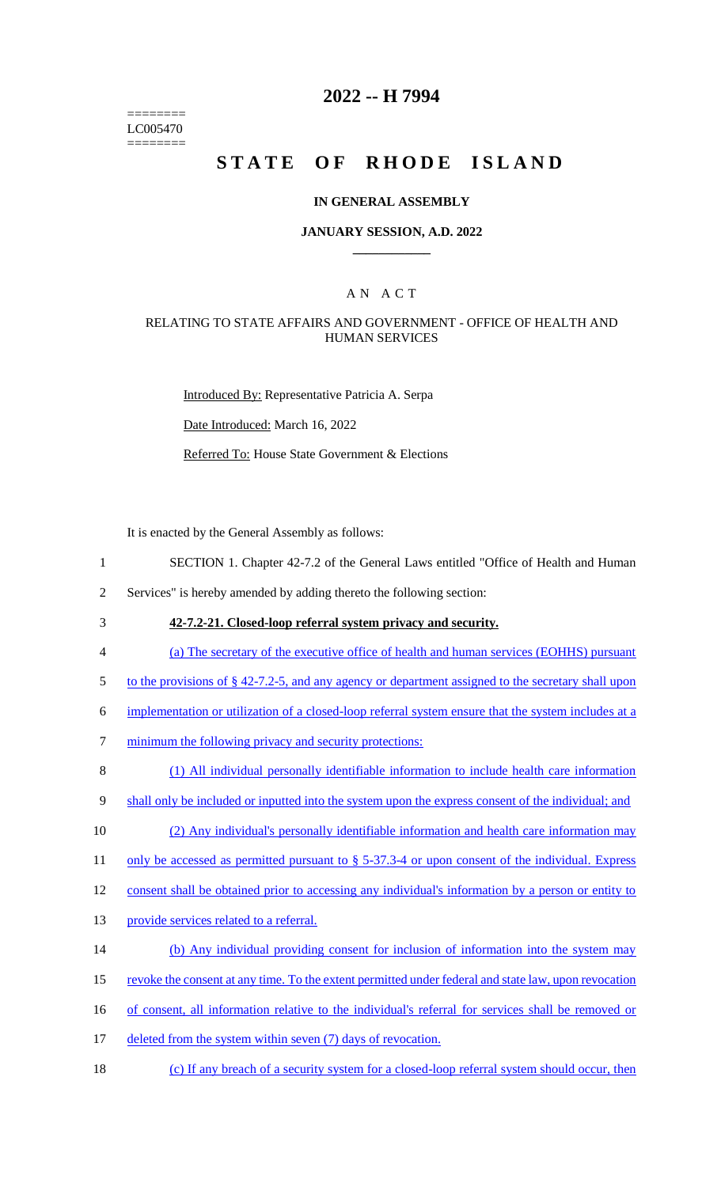======== LC005470 ========

# **2022 -- H 7994**

# **STATE OF RHODE ISLAND**

### **IN GENERAL ASSEMBLY**

### **JANUARY SESSION, A.D. 2022 \_\_\_\_\_\_\_\_\_\_\_\_**

# A N A C T

### RELATING TO STATE AFFAIRS AND GOVERNMENT - OFFICE OF HEALTH AND HUMAN SERVICES

Introduced By: Representative Patricia A. Serpa

Date Introduced: March 16, 2022

Referred To: House State Government & Elections

It is enacted by the General Assembly as follows:

1 SECTION 1. Chapter 42-7.2 of the General Laws entitled "Office of Health and Human

2 Services" is hereby amended by adding thereto the following section:

3 **42-7.2-21. Closed-loop referral system privacy and security.** 

4 (a) The secretary of the executive office of health and human services (EOHHS) pursuant

5 to the provisions of § 42-7.2-5, and any agency or department assigned to the secretary shall upon

6 implementation or utilization of a closed-loop referral system ensure that the system includes at a

7 minimum the following privacy and security protections:

8 (1) All individual personally identifiable information to include health care information

9 shall only be included or inputted into the system upon the express consent of the individual; and

10 (2) Any individual's personally identifiable information and health care information may

11 only be accessed as permitted pursuant to § 5-37.3-4 or upon consent of the individual. Express

12 consent shall be obtained prior to accessing any individual's information by a person or entity to

- 13 provide services related to a referral.
- 14 (b) Any individual providing consent for inclusion of information into the system may
- 15 revoke the consent at any time. To the extent permitted under federal and state law, upon revocation
- 16 of consent, all information relative to the individual's referral for services shall be removed or
- 17 deleted from the system within seven (7) days of revocation.
- 18 (c) If any breach of a security system for a closed-loop referral system should occur, then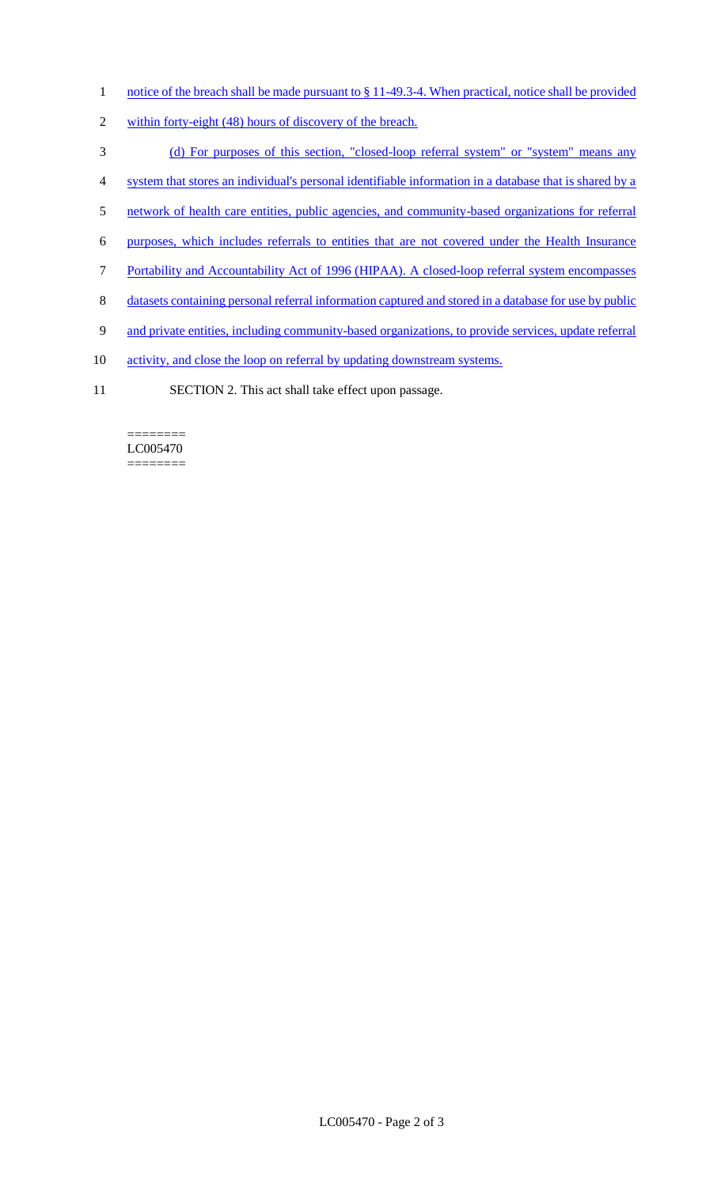- 1 notice of the breach shall be made pursuant to § 11-49.3-4. When practical, notice shall be provided
- 2 within forty-eight (48) hours of discovery of the breach.
- 3 (d) For purposes of this section, "closed-loop referral system" or "system" means any
- 4 system that stores an individual's personal identifiable information in a database that is shared by a
- 5 network of health care entities, public agencies, and community-based organizations for referral
- 6 purposes, which includes referrals to entities that are not covered under the Health Insurance
- 7 Portability and Accountability Act of 1996 (HIPAA). A closed-loop referral system encompasses
- 8 datasets containing personal referral information captured and stored in a database for use by public
- 9 and private entities, including community-based organizations, to provide services, update referral
- 10 activity, and close the loop on referral by updating downstream systems.
- 11 SECTION 2. This act shall take effect upon passage.

#### ======== LC005470 ========